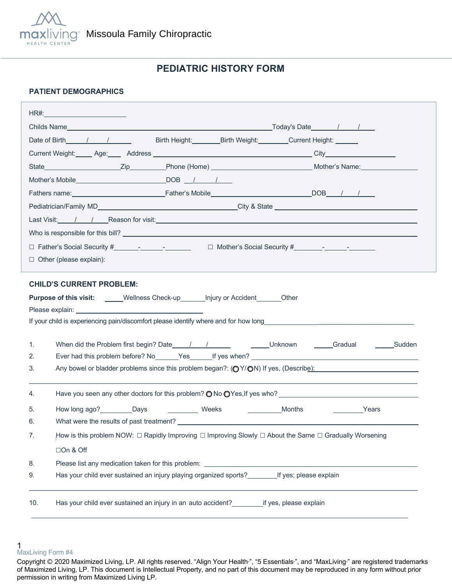

# **PEDIATRIC HISTORY FORM**

### **PATIENT DEMOGRAPHICS**

|                                                                                    | Birth Height: Birth Weight: Current Height: Current Electric<br>Date of Birth 1 1                      |                                                                                                          |  |  |  |
|------------------------------------------------------------------------------------|--------------------------------------------------------------------------------------------------------|----------------------------------------------------------------------------------------------------------|--|--|--|
|                                                                                    |                                                                                                        |                                                                                                          |  |  |  |
|                                                                                    |                                                                                                        |                                                                                                          |  |  |  |
|                                                                                    |                                                                                                        |                                                                                                          |  |  |  |
|                                                                                    |                                                                                                        |                                                                                                          |  |  |  |
|                                                                                    |                                                                                                        |                                                                                                          |  |  |  |
|                                                                                    |                                                                                                        |                                                                                                          |  |  |  |
|                                                                                    |                                                                                                        |                                                                                                          |  |  |  |
|                                                                                    |                                                                                                        |                                                                                                          |  |  |  |
| $\Box$ Other (please explain):                                                     |                                                                                                        |                                                                                                          |  |  |  |
|                                                                                    |                                                                                                        |                                                                                                          |  |  |  |
|                                                                                    | <b>CHILD'S CURRENT PROBLEM:</b>                                                                        |                                                                                                          |  |  |  |
| Purpose of this visit: _____Wellness Check-up_______Injury or Accident_______Other |                                                                                                        |                                                                                                          |  |  |  |
|                                                                                    |                                                                                                        |                                                                                                          |  |  |  |
| 1.                                                                                 |                                                                                                        |                                                                                                          |  |  |  |
| 2.                                                                                 |                                                                                                        |                                                                                                          |  |  |  |
| 3.                                                                                 | Any bowel or bladder problems since this problem began?: (OY/ON) If yes, (Describe):                   |                                                                                                          |  |  |  |
|                                                                                    |                                                                                                        |                                                                                                          |  |  |  |
| 4.                                                                                 | Have you seen any other doctors for this problem? $\bigcirc$ No $\bigcirc$ Yes, If yes who?            |                                                                                                          |  |  |  |
| 5.                                                                                 | How long ago? _________Days _______________ Weeks<br>Months                                            | Years                                                                                                    |  |  |  |
| 6.                                                                                 |                                                                                                        | What were the results of past treatment? The contract of the contract of the contract of past treatment? |  |  |  |
| 7.                                                                                 | How is this problem NOW: □ Rapidly Improving □ Improving Slowly □ About the Same □ Gradually Worsening |                                                                                                          |  |  |  |
|                                                                                    | □On & Off                                                                                              |                                                                                                          |  |  |  |
| 8.                                                                                 |                                                                                                        |                                                                                                          |  |  |  |
| 9.                                                                                 | Has your child ever sustained an injury playing organized sports? _________ If yes; please explain     |                                                                                                          |  |  |  |
|                                                                                    |                                                                                                        |                                                                                                          |  |  |  |
| 10.                                                                                | Has your child ever sustained an injury in an auto accident?<br>___________if yes, please explain      |                                                                                                          |  |  |  |
|                                                                                    |                                                                                                        |                                                                                                          |  |  |  |

<sup>1</sup>  MaxLiving Form #4

Copyright © 2020 Maximized Living, LP. All rights reserved. "Align Your Health<sup>®</sup>, "5 Essentials<sup>®</sup>, and "MaxLiving<sup>®</sup> are registered trademarks of Maximized Living, LP. This document is Intellectual Property, and no part of this document may be reproduced in any form without prior permission in writing from Maximized Living LP.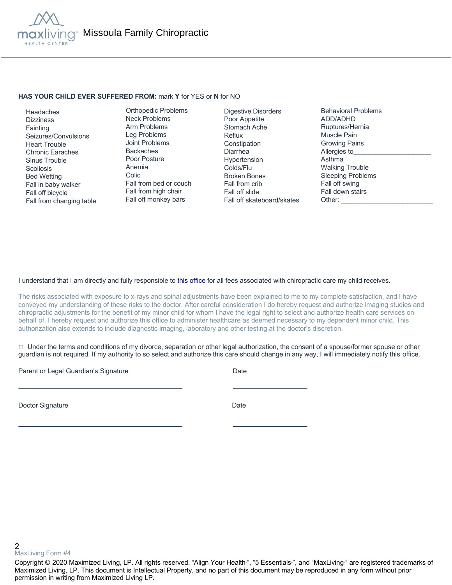

#### **HAS YOUR CHILD EVER SUFFERED FROM:** mark **Y** for YES or **N** for NO

 Headaches **Dizziness Fainting**  Seizures/Convulsions Heart Trouble Chronic Earaches Sinus Trouble **Scoliosis**  Bed Wetting Fall in baby walker Fall off bicycle Fall from changing table

Orthopedic Problems Neck Problems Arm Problems Leg Problems Joint Problems Backaches Poor Posture Anemia Colic Fall from bed or couch Fall from high chair Fall off monkey bars

Digestive Disorders Poor Appetite Stomach Ache Reflux **Constipation** Diarrhea Hypertension Colds/Flu Broken Bones Fall from crib Fall off slide Fall off skateboard/skates Behavioral Problems ADD/ADHD Ruptures/Hernia Muscle Pain Growing Pains Allergies to Asthma Walking Trouble Sleeping Problems Fall off swing Fall down stairs Other:

#### I understand that I am directly and fully responsible to this office for all fees associated with chiropractic care my child receives.

The risks associated with exposure to x-rays and spinal adjustments have been explained to me to my complete satisfaction, and I have conveyed my understanding of these risks to the doctor. After careful consideration I do hereby request and authorize imaging studies and chiropractic adjustments for the benefit of my minor child for whom I have the legal right to select and authorize health care services on behalf of. I hereby request and authorize this office to administer healthcare as deemed necessary to my dependent minor child. This authorization also extends to include diagnostic imaging, laboratory and other testing at the doctor's discretion.

 $\Box$  Under the terms and conditions of my divorce, separation or other legal authorization, the consent of a spouse/former spouse or other guardian is not required. If my authority to so select and authorize this care should change in any way, I will immediately notify this office.

Parent or Legal Guardian's Signature Date Date

Doctor Signature Date

2 MaxLiving Form #4

Copyright © 2020 Maximized Living, LP. All rights reserved. "Align Your Health<sub>"</sub>, "5 Essentials<sub>"</sub>, and "MaxLiving<sub>"</sub> are registered trademarks of Maximized Living, LP. This document is Intellectual Property, and no part of this document may be reproduced in any form without prior permission in writing from Maximized Living LP.